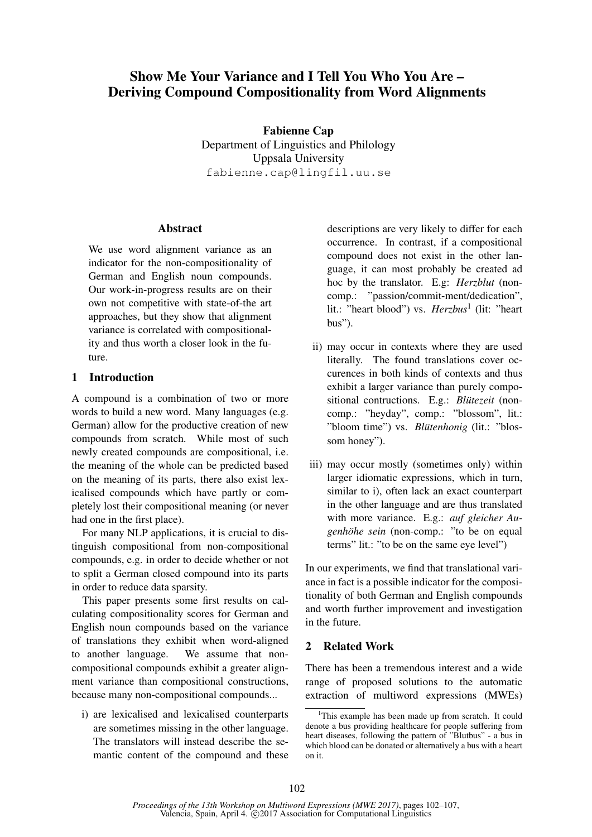# Show Me Your Variance and I Tell You Who You Are – Deriving Compound Compositionality from Word Alignments

Fabienne Cap Department of Linguistics and Philology Uppsala University fabienne.cap@lingfil.uu.se

# **Abstract**

We use word alignment variance as an indicator for the non-compositionality of German and English noun compounds. Our work-in-progress results are on their own not competitive with state-of-the art approaches, but they show that alignment variance is correlated with compositionality and thus worth a closer look in the future.

# 1 Introduction

A compound is a combination of two or more words to build a new word. Many languages (e.g. German) allow for the productive creation of new compounds from scratch. While most of such newly created compounds are compositional, i.e. the meaning of the whole can be predicted based on the meaning of its parts, there also exist lexicalised compounds which have partly or completely lost their compositional meaning (or never had one in the first place).

For many NLP applications, it is crucial to distinguish compositional from non-compositional compounds, e.g. in order to decide whether or not to split a German closed compound into its parts in order to reduce data sparsity.

This paper presents some first results on calculating compositionality scores for German and English noun compounds based on the variance of translations they exhibit when word-aligned to another language. We assume that noncompositional compounds exhibit a greater alignment variance than compositional constructions, because many non-compositional compounds...

i) are lexicalised and lexicalised counterparts are sometimes missing in the other language. The translators will instead describe the semantic content of the compound and these descriptions are very likely to differ for each occurrence. In contrast, if a compositional compound does not exist in the other language, it can most probably be created ad hoc by the translator. E.g: *Herzblut* (noncomp.: "passion/commit-ment/dedication", lit.: "heart blood") vs. *Herzbus*<sup>1</sup> (lit: "heart bus").

- ii) may occur in contexts where they are used literally. The found translations cover occurences in both kinds of contexts and thus exhibit a larger variance than purely compositional contructions. E.g.: *Blütezeit* (noncomp.: "heyday", comp.: "blossom", lit.: "bloom time") vs. *Blütenhonig* (lit.: "blossom honey").
- iii) may occur mostly (sometimes only) within larger idiomatic expressions, which in turn, similar to i), often lack an exact counterpart in the other language and are thus translated with more variance. E.g.: *auf gleicher Augenhöhe sein* (non-comp.: "to be on equal terms" lit.: "to be on the same eye level")

In our experiments, we find that translational variance in fact is a possible indicator for the compositionality of both German and English compounds and worth further improvement and investigation in the future.

# 2 Related Work

There has been a tremendous interest and a wide range of proposed solutions to the automatic extraction of multiword expressions (MWEs)

<sup>&</sup>lt;sup>1</sup>This example has been made up from scratch. It could denote a bus providing healthcare for people suffering from heart diseases, following the pattern of "Blutbus" - a bus in which blood can be donated or alternatively a bus with a heart on it.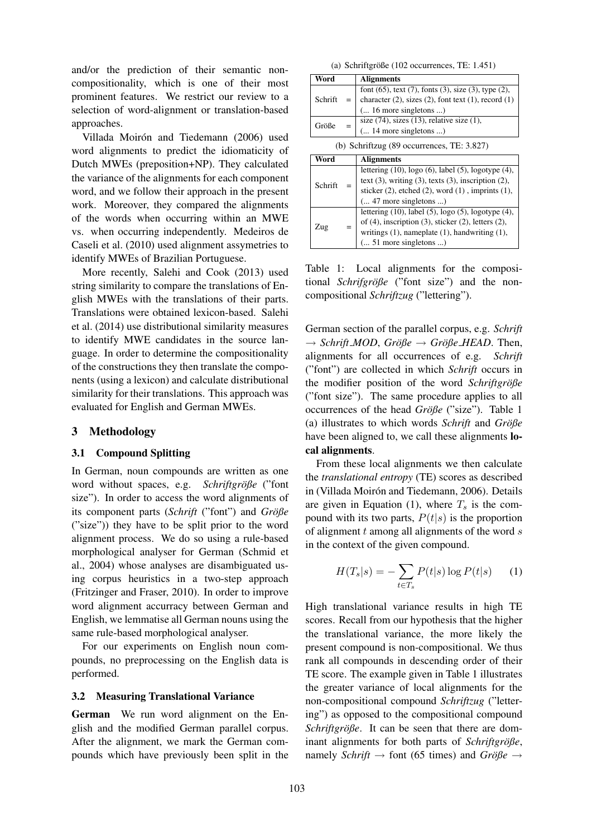and/or the prediction of their semantic noncompositionality, which is one of their most prominent features. We restrict our review to a selection of word-alignment or translation-based approaches.

Villada Moirón and Tiedemann (2006) used word alignments to predict the idiomaticity of Dutch MWEs (preposition+NP). They calculated the variance of the alignments for each component word, and we follow their approach in the present work. Moreover, they compared the alignments of the words when occurring within an MWE vs. when occurring independently. Medeiros de Caseli et al. (2010) used alignment assymetries to identify MWEs of Brazilian Portuguese.

More recently, Salehi and Cook (2013) used string similarity to compare the translations of English MWEs with the translations of their parts. Translations were obtained lexicon-based. Salehi et al. (2014) use distributional similarity measures to identify MWE candidates in the source language. In order to determine the compositionality of the constructions they then translate the components (using a lexicon) and calculate distributional similarity for their translations. This approach was evaluated for English and German MWEs.

# 3 Methodology

### 3.1 Compound Splitting

In German, noun compounds are written as one word without spaces, e.g. *Schriftgröße* ("font size"). In order to access the word alignments of its component parts (*Schrift* ("font") and *Größe* ("size")) they have to be split prior to the word alignment process. We do so using a rule-based morphological analyser for German (Schmid et al., 2004) whose analyses are disambiguated using corpus heuristics in a two-step approach (Fritzinger and Fraser, 2010). In order to improve word alignment accurracy between German and English, we lemmatise all German nouns using the same rule-based morphological analyser.

For our experiments on English noun compounds, no preprocessing on the English data is performed.

#### 3.2 Measuring Translational Variance

German We run word alignment on the English and the modified German parallel corpus. After the alignment, we mark the German compounds which have previously been split in the

| (a) Schriftgröße (102 occurrences, TE: 1.451) |  |  |  |
|-----------------------------------------------|--|--|--|
|-----------------------------------------------|--|--|--|

|         |                                              | (a) Schrifterobe (102 occurrences, TE: 1.451)                      |  |  |  |
|---------|----------------------------------------------|--------------------------------------------------------------------|--|--|--|
| Word    |                                              | <b>Alignments</b>                                                  |  |  |  |
|         |                                              | font $(65)$ , text $(7)$ , fonts $(3)$ , size $(3)$ , type $(2)$ , |  |  |  |
| Schrift |                                              | character $(2)$ , sizes $(2)$ , font text $(1)$ , record $(1)$     |  |  |  |
|         |                                              | $\dots$ 16 more singletons )                                       |  |  |  |
| Größe   |                                              | size $(74)$ , sizes $(13)$ , relative size $(1)$ ,                 |  |  |  |
|         |                                              | $\dots$ 14 more singletons )                                       |  |  |  |
|         | (b) Schriftzug $(89$ occurrences, TE: 3.827) |                                                                    |  |  |  |
| Word    |                                              |                                                                    |  |  |  |
|         |                                              | <b>Alignments</b>                                                  |  |  |  |
|         |                                              | lettering $(10)$ , logo $(6)$ , label $(5)$ , logotype $(4)$ ,     |  |  |  |
|         |                                              | text $(3)$ , writing $(3)$ , texts $(3)$ , inscription $(2)$ ,     |  |  |  |
| Schrift |                                              | sticker $(2)$ , etched $(2)$ , word $(1)$ , imprints $(1)$ ,       |  |  |  |
|         |                                              | $( 47$ more singletons )                                           |  |  |  |
|         |                                              | lettering $(10)$ , label $(5)$ , logo $(5)$ , logotype $(4)$ ,     |  |  |  |
|         |                                              | of $(4)$ , inscription $(3)$ , sticker $(2)$ , letters $(2)$ ,     |  |  |  |
| Zug     |                                              | writings $(1)$ , nameplate $(1)$ , handwriting $(1)$ ,             |  |  |  |

Table 1: Local alignments for the compositional *Schrifgröße* ("font size") and the noncompositional *Schriftzug* ("lettering").

German section of the parallel corpus, e.g. *Schrift*  $→$  *Schrift MOD*, *Größe*  $→$  *Größe HEAD*. Then, alignments for all occurrences of e.g. *Schrift* ("font") are collected in which *Schrift* occurs in the modifier position of the word *Schriftgröße* ("font size"). The same procedure applies to all occurrences of the head *Große ¨* ("size"). Table 1 (a) illustrates to which words *Schrift* and  $Gr\ddot{o} \beta e$ have been aligned to, we call these alignments local alignments.

From these local alignments we then calculate the *translational entropy* (TE) scores as described in (Villada Moirón and Tiedemann, 2006). Details are given in Equation (1), where  $T_s$  is the compound with its two parts,  $P(t|s)$  is the proportion of alignment  $t$  among all alignments of the word  $s$ in the context of the given compound.

$$
H(T_s|s) = -\sum_{t \in T_s} P(t|s) \log P(t|s) \qquad (1)
$$

High translational variance results in high TE scores. Recall from our hypothesis that the higher the translational variance, the more likely the present compound is non-compositional. We thus rank all compounds in descending order of their TE score. The example given in Table 1 illustrates the greater variance of local alignments for the non-compositional compound *Schriftzug* ("lettering") as opposed to the compositional compound *Schriftgröße*. It can be seen that there are dominant alignments for both parts of *Schriftgröße*, namely *Schrift*  $\rightarrow$  font (65 times) and *Größe*  $\rightarrow$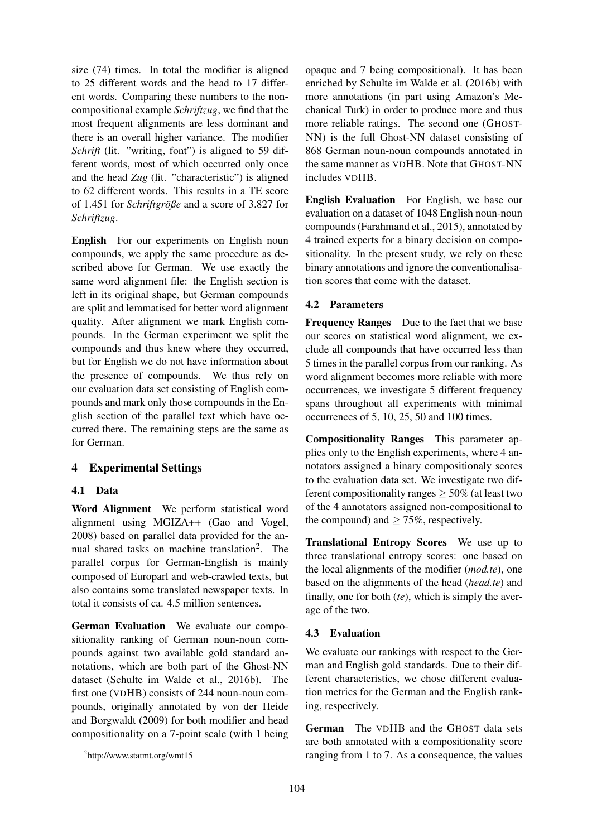size (74) times. In total the modifier is aligned to 25 different words and the head to 17 different words. Comparing these numbers to the noncompositional example *Schriftzug*, we find that the most frequent alignments are less dominant and there is an overall higher variance. The modifier *Schrift* (lit. "writing, font") is aligned to 59 different words, most of which occurred only once and the head *Zug* (lit. "characteristic") is aligned to 62 different words. This results in a TE score of 1.451 for *Schriftgröße* and a score of 3.827 for *Schriftzug*.

English For our experiments on English noun compounds, we apply the same procedure as described above for German. We use exactly the same word alignment file: the English section is left in its original shape, but German compounds are split and lemmatised for better word alignment quality. After alignment we mark English compounds. In the German experiment we split the compounds and thus knew where they occurred, but for English we do not have information about the presence of compounds. We thus rely on our evaluation data set consisting of English compounds and mark only those compounds in the English section of the parallel text which have occurred there. The remaining steps are the same as for German.

# 4 Experimental Settings

# 4.1 Data

Word Alignment We perform statistical word alignment using MGIZA++ (Gao and Vogel, 2008) based on parallel data provided for the annual shared tasks on machine translation<sup>2</sup>. The parallel corpus for German-English is mainly composed of Europarl and web-crawled texts, but also contains some translated newspaper texts. In total it consists of ca. 4.5 million sentences.

German Evaluation We evaluate our compositionality ranking of German noun-noun compounds against two available gold standard annotations, which are both part of the Ghost-NN dataset (Schulte im Walde et al., 2016b). The first one (VDHB) consists of 244 noun-noun compounds, originally annotated by von der Heide and Borgwaldt (2009) for both modifier and head compositionality on a 7-point scale (with 1 being

opaque and 7 being compositional). It has been enriched by Schulte im Walde et al. (2016b) with more annotations (in part using Amazon's Mechanical Turk) in order to produce more and thus more reliable ratings. The second one (GHOST-NN) is the full Ghost-NN dataset consisting of 868 German noun-noun compounds annotated in the same manner as VDHB. Note that GHOST-NN includes VDHB.

English Evaluation For English, we base our evaluation on a dataset of 1048 English noun-noun compounds (Farahmand et al., 2015), annotated by 4 trained experts for a binary decision on compositionality. In the present study, we rely on these binary annotations and ignore the conventionalisation scores that come with the dataset.

# 4.2 Parameters

Frequency Ranges Due to the fact that we base our scores on statistical word alignment, we exclude all compounds that have occurred less than 5 times in the parallel corpus from our ranking. As word alignment becomes more reliable with more occurrences, we investigate 5 different frequency spans throughout all experiments with minimal occurrences of 5, 10, 25, 50 and 100 times.

Compositionality Ranges This parameter applies only to the English experiments, where 4 annotators assigned a binary compositionaly scores to the evaluation data set. We investigate two different compositionality ranges  $\geq$  50% (at least two of the 4 annotators assigned non-compositional to the compound) and  $\geq 75\%$ , respectively.

Translational Entropy Scores We use up to three translational entropy scores: one based on the local alignments of the modifier (*mod.te*), one based on the alignments of the head (*head.te*) and finally, one for both (*te*), which is simply the average of the two.

# 4.3 Evaluation

We evaluate our rankings with respect to the German and English gold standards. Due to their different characteristics, we chose different evaluation metrics for the German and the English ranking, respectively.

German The VDHB and the GHOST data sets are both annotated with a compositionality score ranging from 1 to 7. As a consequence, the values

<sup>2</sup> http://www.statmt.org/wmt15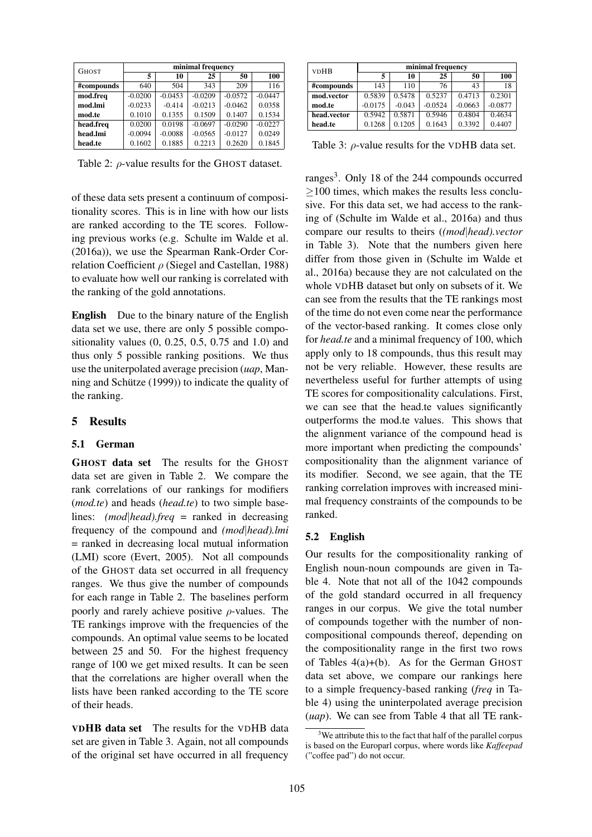| <b>GHOST</b> | minimal frequency |           |           |           |           |  |
|--------------|-------------------|-----------|-----------|-----------|-----------|--|
|              | 5                 | 10        | 25        | 50        | 100       |  |
| #compounds   | 640               | 504       | 343       | 209       | 116       |  |
| mod.freq     | $-0.0200$         | $-0.0453$ | $-0.0209$ | $-0.0572$ | $-0.0447$ |  |
| mod.lmi      | $-0.0233$         | $-0.414$  | $-0.0213$ | $-0.0462$ | 0.0358    |  |
| mod.te       | 0.1010            | 0.1355    | 0.1509    | 0.1407    | 0.1534    |  |
| head.freq    | 0.0200            | 0.0198    | $-0.0697$ | $-0.0290$ | $-0.0227$ |  |
| head.lmi     | $-0.0094$         | $-0.0088$ | $-0.0565$ | $-0.0127$ | 0.0249    |  |
| head.te      | 0.1602            | 0.1885    | 0.2213    | 0.2620    | 0.1845    |  |

Table 2:  $\rho$ -value results for the GHOST dataset.

of these data sets present a continuum of compositionality scores. This is in line with how our lists are ranked according to the TE scores. Following previous works (e.g. Schulte im Walde et al. (2016a)), we use the Spearman Rank-Order Correlation Coefficient  $\rho$  (Siegel and Castellan, 1988) to evaluate how well our ranking is correlated with the ranking of the gold annotations.

English Due to the binary nature of the English data set we use, there are only 5 possible compositionality values (0, 0.25, 0.5, 0.75 and 1.0) and thus only 5 possible ranking positions. We thus use the uniterpolated average precision (*uap*, Manning and Schütze  $(1999)$  to indicate the quality of the ranking.

### 5 Results

### 5.1 German

GHOST data set The results for the GHOST data set are given in Table 2. We compare the rank correlations of our rankings for modifiers (*mod.te*) and heads (*head.te*) to two simple baselines: *(mod*|*head).freq* = ranked in decreasing frequency of the compound and *(mod*|*head).lmi* = ranked in decreasing local mutual information (LMI) score (Evert, 2005). Not all compounds of the GHOST data set occurred in all frequency ranges. We thus give the number of compounds for each range in Table 2. The baselines perform poorly and rarely achieve positive  $\rho$ -values. The TE rankings improve with the frequencies of the compounds. An optimal value seems to be located between 25 and 50. For the highest frequency range of 100 we get mixed results. It can be seen that the correlations are higher overall when the lists have been ranked according to the TE score of their heads.

VDHB data set The results for the VDHB data set are given in Table 3. Again, not all compounds of the original set have occurred in all frequency

| <b>VDHB</b> | minimal frequency |          |           |           |           |  |  |
|-------------|-------------------|----------|-----------|-----------|-----------|--|--|
|             | 5                 | 10       | 25        | 50        | 100       |  |  |
| #compounds  | 143               | 110      | 76        | 43        | 18        |  |  |
| mod.vector  | 0.5839            | 0.5478   | 0.5237    | 0.4713    | 0.2301    |  |  |
| mod.te      | $-0.0175$         | $-0.043$ | $-0.0524$ | $-0.0663$ | $-0.0877$ |  |  |
| head.vector | 0.5942            | 0.5871   | 0.5946    | 0.4804    | 0.4634    |  |  |
| head.te     | 0.1268            | 0.1205   | 0.1643    | 0.3392    | 0.4407    |  |  |

Table 3:  $\rho$ -value results for the VDHB data set.

ranges<sup>3</sup>. Only 18 of the 244 compounds occurred  $\geq$ 100 times, which makes the results less conclusive. For this data set, we had access to the ranking of (Schulte im Walde et al., 2016a) and thus compare our results to theirs (*(mod*|*head).vector* in Table 3). Note that the numbers given here differ from those given in (Schulte im Walde et al., 2016a) because they are not calculated on the whole VDHB dataset but only on subsets of it. We can see from the results that the TE rankings most of the time do not even come near the performance of the vector-based ranking. It comes close only for *head.te* and a minimal frequency of 100, which apply only to 18 compounds, thus this result may not be very reliable. However, these results are nevertheless useful for further attempts of using TE scores for compositionality calculations. First, we can see that the head.te values significantly outperforms the mod.te values. This shows that the alignment variance of the compound head is more important when predicting the compounds' compositionality than the alignment variance of its modifier. Second, we see again, that the TE ranking correlation improves with increased minimal frequency constraints of the compounds to be ranked.

#### 5.2 English

Our results for the compositionality ranking of English noun-noun compounds are given in Table 4. Note that not all of the 1042 compounds of the gold standard occurred in all frequency ranges in our corpus. We give the total number of compounds together with the number of noncompositional compounds thereof, depending on the compositionality range in the first two rows of Tables 4(a)+(b). As for the German GHOST data set above, we compare our rankings here to a simple frequency-based ranking (*freq* in Table 4) using the uninterpolated average precision (*uap*). We can see from Table 4 that all TE rank-

 $3\text{We attribute this to the fact that half of the parallel corpus.}$ is based on the Europarl corpus, where words like *Kaffeepad* ("coffee pad") do not occur.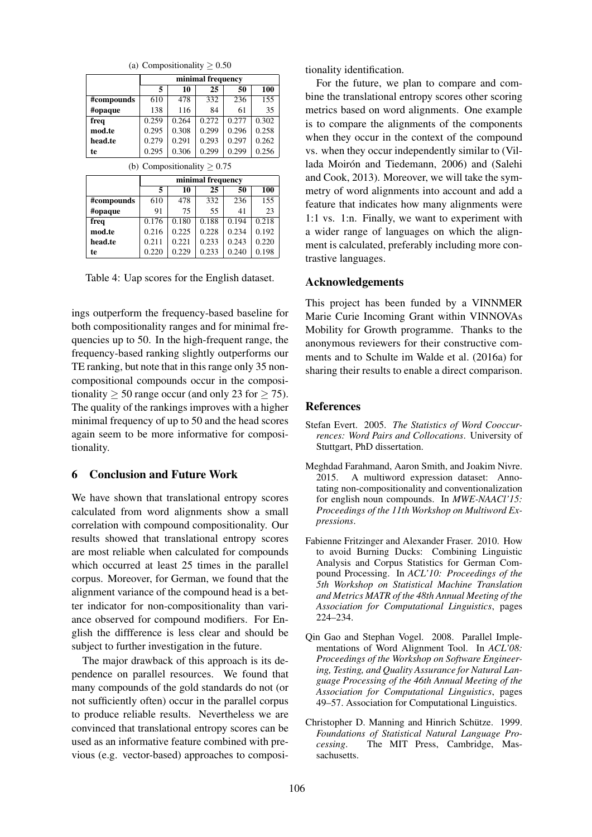|            | minimal frequency |       |       |       |       |
|------------|-------------------|-------|-------|-------|-------|
|            | 5                 | 10    | 25    | 50    | 100   |
| #compounds | 610               | 478   | 332   | 236   | 155   |
| #opaque    | 138               | 116   | 84    | 61    | 35    |
| freq       | 0.259             | 0.264 | 0.272 | 0.277 | 0.302 |
| mod.te     | 0.295             | 0.308 | 0.299 | 0.296 | 0.258 |
| head.te    | 0.279             | 0.291 | 0.293 | 0.297 | 0.262 |
| te         | 0.295             | 0.306 | 0.299 | 0.299 | 0.256 |

(a) Compositionality  $\geq 0.50$ 

(b) Compositionality  $> 0.75$ 

|            | minimal frequency |       |       |       |       |
|------------|-------------------|-------|-------|-------|-------|
|            | 5                 | 10    | 25    | 50    | 100   |
| #compounds | 610               | 478   | 332   | 236   | 155   |
| #opaque    | 91                | 75    | 55    | 41    | 23    |
| freq       | 0.176             | 0.180 | 0.188 | 0.194 | 0.218 |
| mod.te     | 0.216             | 0.225 | 0.228 | 0.234 | 0.192 |
| head.te    | 0.211             | 0.221 | 0.233 | 0.243 | 0.220 |
| te         | 0.220             | 0.229 | 0.233 | 0.240 | 0.198 |

Table 4: Uap scores for the English dataset.

ings outperform the frequency-based baseline for both compositionality ranges and for minimal frequencies up to 50. In the high-frequent range, the frequency-based ranking slightly outperforms our TE ranking, but note that in this range only 35 noncompositional compounds occur in the compositionality  $\geq 50$  range occur (and only 23 for  $\geq 75$ ). The quality of the rankings improves with a higher minimal frequency of up to 50 and the head scores again seem to be more informative for compositionality.

# 6 Conclusion and Future Work

We have shown that translational entropy scores calculated from word alignments show a small correlation with compound compositionality. Our results showed that translational entropy scores are most reliable when calculated for compounds which occurred at least 25 times in the parallel corpus. Moreover, for German, we found that the alignment variance of the compound head is a better indicator for non-compositionality than variance observed for compound modifiers. For English the diffference is less clear and should be subject to further investigation in the future.

The major drawback of this approach is its dependence on parallel resources. We found that many compounds of the gold standards do not (or not sufficiently often) occur in the parallel corpus to produce reliable results. Nevertheless we are convinced that translational entropy scores can be used as an informative feature combined with previous (e.g. vector-based) approaches to compositionality identification.

For the future, we plan to compare and combine the translational entropy scores other scoring metrics based on word alignments. One example is to compare the alignments of the components when they occur in the context of the compound vs. when they occur independently similar to (Villada Moirón and Tiedemann, 2006) and (Salehi and Cook, 2013). Moreover, we will take the symmetry of word alignments into account and add a feature that indicates how many alignments were 1:1 vs. 1:n. Finally, we want to experiment with a wider range of languages on which the alignment is calculated, preferably including more contrastive languages.

### Acknowledgements

This project has been funded by a VINNMER Marie Curie Incoming Grant within VINNOVAs Mobility for Growth programme. Thanks to the anonymous reviewers for their constructive comments and to Schulte im Walde et al. (2016a) for sharing their results to enable a direct comparison.

### References

- Stefan Evert. 2005. *The Statistics of Word Cooccurrences: Word Pairs and Collocations*. University of Stuttgart, PhD dissertation.
- Meghdad Farahmand, Aaron Smith, and Joakim Nivre. 2015. A multiword expression dataset: Annotating non-compositionality and conventionalization for english noun compounds. In *MWE-NAACl'15: Proceedings of the 11th Workshop on Multiword Expressions*.
- Fabienne Fritzinger and Alexander Fraser. 2010. How to avoid Burning Ducks: Combining Linguistic Analysis and Corpus Statistics for German Compound Processing. In *ACL'10: Proceedings of the 5th Workshop on Statistical Machine Translation and Metrics MATR of the 48th Annual Meeting of the Association for Computational Linguistics*, pages 224–234.
- Qin Gao and Stephan Vogel. 2008. Parallel Implementations of Word Alignment Tool. In *ACL'08: Proceedings of the Workshop on Software Engineering, Testing, and Quality Assurance for Natural Language Processing of the 46th Annual Meeting of the Association for Computational Linguistics*, pages 49–57. Association for Computational Linguistics.
- Christopher D. Manning and Hinrich Schütze. 1999. *Foundations of Statistical Natural Language Processing*. The MIT Press, Cambridge, Massachusetts.